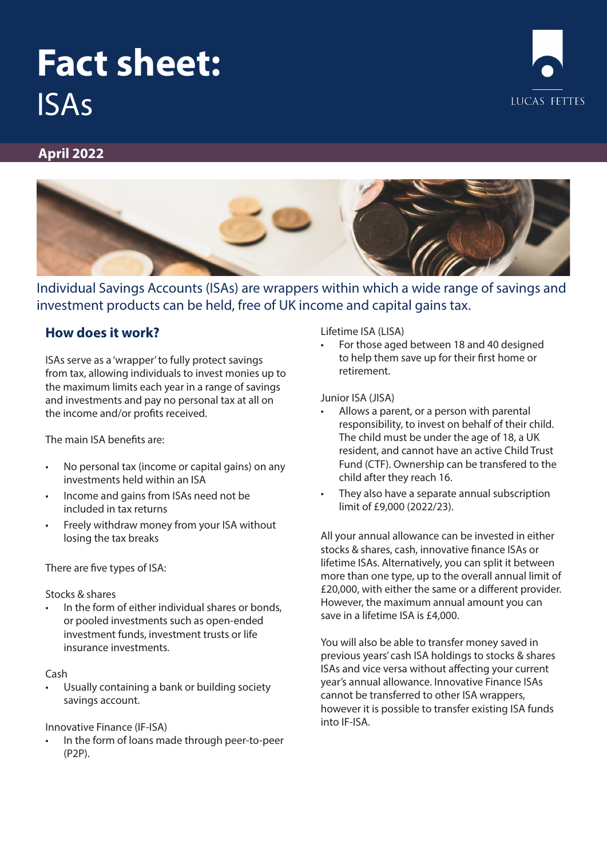# **Fact sheet:** ISAs



#### **April 2022**



Individual Savings Accounts (ISAs) are wrappers within which a wide range of savings and investment products can be held, free of UK income and capital gains tax.

### **How does it work?**

ISAs serve as a 'wrapper' to fully protect savings from tax, allowing individuals to invest monies up to the maximum limits each year in a range of savings and investments and pay no personal tax at all on the income and/or profits received.

The main ISA benefits are:

- No personal tax (income or capital gains) on any investments held within an ISA
- Income and gains from ISAs need not be included in tax returns
- Freely withdraw money from your ISA without losing the tax breaks

There are five types of ISA:

#### Stocks & shares

In the form of either individual shares or bonds, or pooled investments such as open-ended investment funds, investment trusts or life insurance investments.

#### Cash

• Usually containing a bank or building society savings account.

#### Innovative Finance (IF-ISA)

In the form of loans made through peer-to-peer (P2P).

Lifetime ISA (LISA)

• For those aged between 18 and 40 designed to help them save up for their first home or retirement.

#### Junior ISA (JISA)

- Allows a parent, or a person with parental responsibility, to invest on behalf of their child. The child must be under the age of 18, a UK resident, and cannot have an active Child Trust Fund (CTF). Ownership can be transfered to the child after they reach 16.
- They also have a separate annual subscription limit of £9,000 (2022/23).

All your annual allowance can be invested in either stocks & shares, cash, innovative finance ISAs or lifetime ISAs. Alternatively, you can split it between more than one type, up to the overall annual limit of £20,000, with either the same or a different provider. However, the maximum annual amount you can save in a lifetime ISA is £4,000.

You will also be able to transfer money saved in previous years' cash ISA holdings to stocks & shares ISAs and vice versa without affecting your current year's annual allowance. Innovative Finance ISAs cannot be transferred to other ISA wrappers, however it is possible to transfer existing ISA funds into IF-ISA.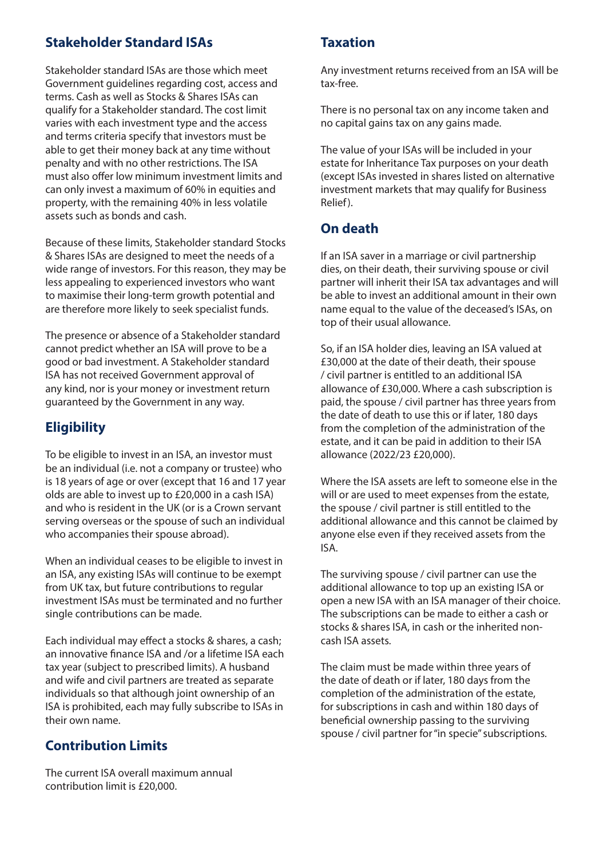## **Stakeholder Standard ISAs**

Stakeholder standard ISAs are those which meet Government guidelines regarding cost, access and terms. Cash as well as Stocks & Shares ISAs can qualify for a Stakeholder standard. The cost limit varies with each investment type and the access and terms criteria specify that investors must be able to get their money back at any time without penalty and with no other restrictions. The ISA must also offer low minimum investment limits and can only invest a maximum of 60% in equities and property, with the remaining 40% in less volatile assets such as bonds and cash.

Because of these limits, Stakeholder standard Stocks & Shares ISAs are designed to meet the needs of a wide range of investors. For this reason, they may be less appealing to experienced investors who want to maximise their long-term growth potential and are therefore more likely to seek specialist funds.

The presence or absence of a Stakeholder standard cannot predict whether an ISA will prove to be a good or bad investment. A Stakeholder standard ISA has not received Government approval of any kind, nor is your money or investment return guaranteed by the Government in any way.

## **Eligibility**

To be eligible to invest in an ISA, an investor must be an individual (i.e. not a company or trustee) who is 18 years of age or over (except that 16 and 17 year olds are able to invest up to £20,000 in a cash ISA) and who is resident in the UK (or is a Crown servant serving overseas or the spouse of such an individual who accompanies their spouse abroad).

When an individual ceases to be eligible to invest in an ISA, any existing ISAs will continue to be exempt from UK tax, but future contributions to regular investment ISAs must be terminated and no further single contributions can be made.

Each individual may effect a stocks & shares, a cash; an innovative finance ISA and /or a lifetime ISA each tax year (subject to prescribed limits). A husband and wife and civil partners are treated as separate individuals so that although joint ownership of an ISA is prohibited, each may fully subscribe to ISAs in their own name.

## **Contribution Limits**

The current ISA overall maximum annual contribution limit is £20,000.

## **Taxation**

Any investment returns received from an ISA will be tax-free.

There is no personal tax on any income taken and no capital gains tax on any gains made.

The value of your ISAs will be included in your estate for Inheritance Tax purposes on your death (except ISAs invested in shares listed on alternative investment markets that may qualify for Business Relief).

## **On death**

If an ISA saver in a marriage or civil partnership dies, on their death, their surviving spouse or civil partner will inherit their ISA tax advantages and will be able to invest an additional amount in their own name equal to the value of the deceased's ISAs, on top of their usual allowance.

So, if an ISA holder dies, leaving an ISA valued at £30,000 at the date of their death, their spouse / civil partner is entitled to an additional ISA allowance of £30,000. Where a cash subscription is paid, the spouse / civil partner has three years from the date of death to use this or if later, 180 days from the completion of the administration of the estate, and it can be paid in addition to their ISA allowance (2022/23 £20,000).

Where the ISA assets are left to someone else in the will or are used to meet expenses from the estate, the spouse / civil partner is still entitled to the additional allowance and this cannot be claimed by anyone else even if they received assets from the ISA.

The surviving spouse / civil partner can use the additional allowance to top up an existing ISA or open a new ISA with an ISA manager of their choice. The subscriptions can be made to either a cash or stocks & shares ISA, in cash or the inherited noncash ISA assets.

The claim must be made within three years of the date of death or if later, 180 days from the completion of the administration of the estate, for subscriptions in cash and within 180 days of beneficial ownership passing to the surviving spouse / civil partner for "in specie" subscriptions.